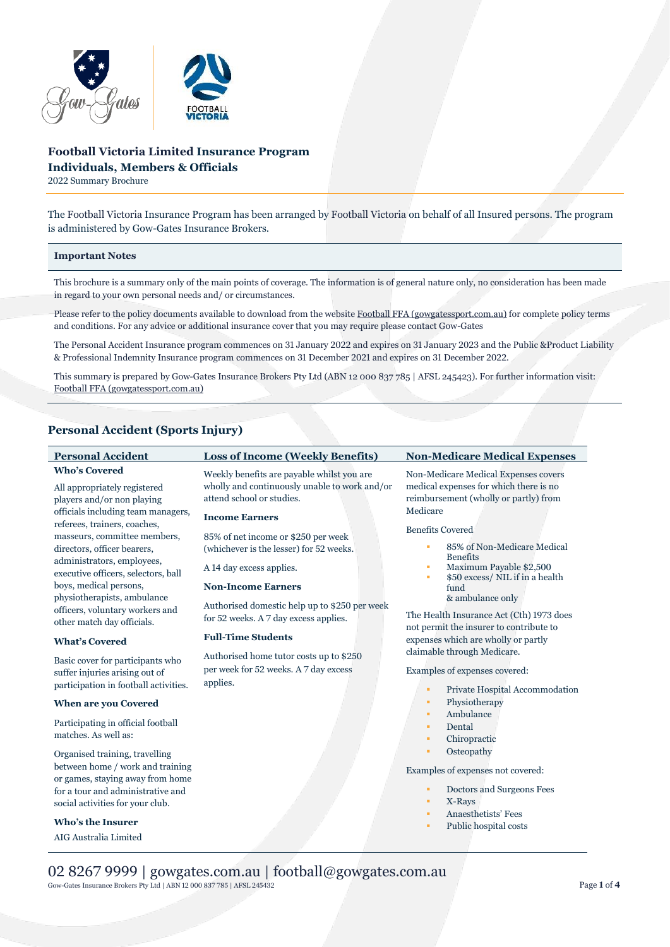

# **Football Victoria Limited Insurance Program Individuals, Members & Officials**

2022 Summary Brochure

The Football Victoria Insurance Program has been arranged by Football Victoria on behalf of all Insured persons. The program is administered by Gow-Gates Insurance Brokers.

# **Important Notes**

This brochure is a summary only of the main points of coverage. The information is of general nature only, no consideration has been made in regard to your own personal needs and/ or circumstances.

Please refer to the policy documents available to download from the websit[e Football FFA \(gowgatessport.com.au\)](https://football.gowgatessport.com.au/) for complete policy terms and conditions. For any advice or additional insurance cover that you may require please contact Gow-Gates

The Personal Accident Insurance program commences on 31 January 2022 and expires on 31 January 2023 and the Public &Product Liability & Professional Indemnity Insurance program commences on 31 December 2021 and expires on 31 December 2022.

This summary is prepared by Gow-Gates Insurance Brokers Pty Ltd (ABN 12 000 837 785 | AFSL 245423). For further information visit: [Football FFA \(gowgatessport.com.au\)](https://football.gowgatessport.com.au/)

# **Personal Accident (Sports Injury)**

| <b>Personal Accident</b>                                                                                                                                                                                                                                                                                               | <b>Loss of Income (Weekly Benefits)</b>                                                                                                                                                                                                                                                      | <b>Non-Medicare Medical Expenses</b>                                                                                                                                                                                                                                                                  |
|------------------------------------------------------------------------------------------------------------------------------------------------------------------------------------------------------------------------------------------------------------------------------------------------------------------------|----------------------------------------------------------------------------------------------------------------------------------------------------------------------------------------------------------------------------------------------------------------------------------------------|-------------------------------------------------------------------------------------------------------------------------------------------------------------------------------------------------------------------------------------------------------------------------------------------------------|
| <b>Who's Covered</b><br>All appropriately registered<br>players and/or non playing<br>officials including team managers,<br>referees, trainers, coaches,<br>masseurs, committee members,<br>directors, officer bearers,<br>administrators, employees,<br>executive officers, selectors, ball<br>boys, medical persons, | Weekly benefits are payable whilst you are<br>wholly and continuously unable to work and/or<br>attend school or studies.<br><b>Income Earners</b><br>85% of net income or \$250 per week<br>(whichever is the lesser) for 52 weeks.<br>A 14 day excess applies.<br><b>Non-Income Earners</b> | Non-Medicare Medical Expenses covers<br>medical expenses for which there is no<br>reimbursement (wholly or partly) from<br>Medicare<br><b>Benefits Covered</b><br>85% of Non-Medicare Medical<br>٠<br><b>Benefits</b><br>Maximum Payable \$2,500<br>٠<br>\$50 excess/ NIL if in a health<br>٠<br>fund |
| physiotherapists, ambulance<br>officers, voluntary workers and<br>other match day officials.<br><b>What's Covered</b>                                                                                                                                                                                                  | Authorised domestic help up to \$250 per week<br>for 52 weeks. A 7 day excess applies.<br><b>Full-Time Students</b>                                                                                                                                                                          | & ambulance only<br>The Health Insurance Act (Cth) 1973 does<br>not permit the insurer to contribute to<br>expenses which are wholly or partly                                                                                                                                                        |
| Basic cover for participants who<br>suffer injuries arising out of<br>participation in football activities.                                                                                                                                                                                                            | Authorised home tutor costs up to \$250<br>per week for 52 weeks. A 7 day excess<br>applies.                                                                                                                                                                                                 | claimable through Medicare.<br>Examples of expenses covered:<br>Private Hospital Accommodation<br>٠                                                                                                                                                                                                   |
| <b>When are you Covered</b>                                                                                                                                                                                                                                                                                            |                                                                                                                                                                                                                                                                                              | Physiotherapy<br>٠                                                                                                                                                                                                                                                                                    |
| Participating in official football<br>matches. As well as:                                                                                                                                                                                                                                                             |                                                                                                                                                                                                                                                                                              | Ambulance<br>٠<br>Dental<br>٠<br>Chiropractic<br>٠                                                                                                                                                                                                                                                    |
| Organised training, travelling<br>between home / work and training<br>or games, staying away from home<br>for a tour and administrative and<br>social activities for your club.                                                                                                                                        |                                                                                                                                                                                                                                                                                              | Osteopathy<br>٠<br>Examples of expenses not covered:<br>Doctors and Surgeons Fees<br>٠<br>X-Rays<br>٠<br>Anaesthetists' Fees                                                                                                                                                                          |
| <b>Who's the Insurer</b>                                                                                                                                                                                                                                                                                               |                                                                                                                                                                                                                                                                                              | ٠<br>Public hospital costs<br>٠                                                                                                                                                                                                                                                                       |
| AIG Australia Limited                                                                                                                                                                                                                                                                                                  |                                                                                                                                                                                                                                                                                              |                                                                                                                                                                                                                                                                                                       |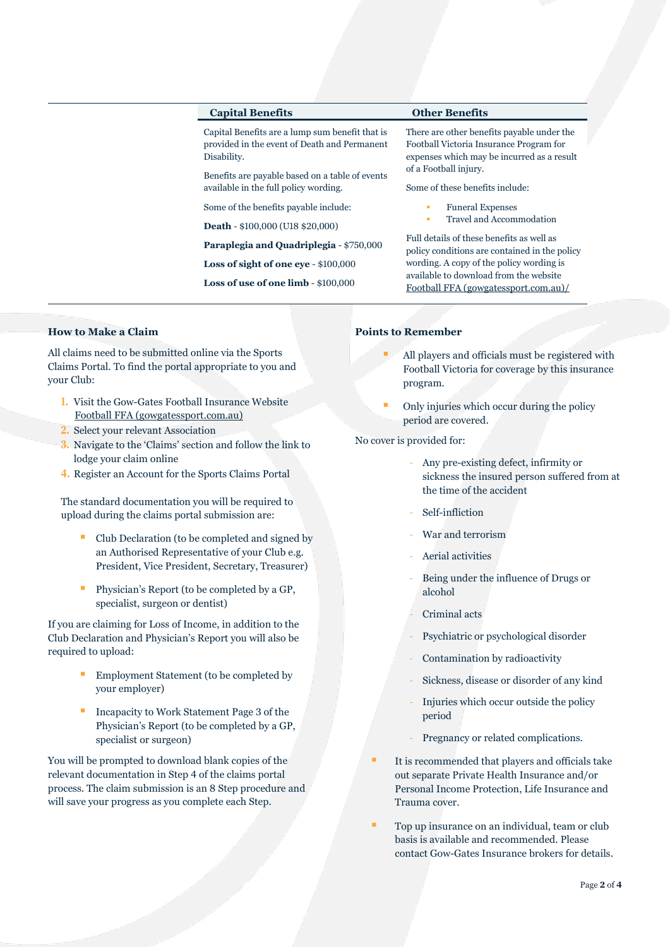| <b>Capital Benefits</b>                                                                                        | <b>Other Benefits</b>                                                                                                                                                                                                    |  |
|----------------------------------------------------------------------------------------------------------------|--------------------------------------------------------------------------------------------------------------------------------------------------------------------------------------------------------------------------|--|
| Capital Benefits are a lump sum benefit that is<br>provided in the event of Death and Permanent<br>Disability. | There are other benefits payable under the<br>Football Victoria Insurance Program for<br>expenses which may be incurred as a result<br>of a Football injury.                                                             |  |
| Benefits are payable based on a table of events<br>available in the full policy wording.                       | Some of these benefits include:                                                                                                                                                                                          |  |
| Some of the benefits payable include:                                                                          | <b>Funeral Expenses</b>                                                                                                                                                                                                  |  |
| <b>Death - \$100,000 (U18 \$20,000)</b>                                                                        | Travel and Accommodation<br>٠                                                                                                                                                                                            |  |
| Paraplegia and Quadriplegia - \$750,000                                                                        | Full details of these benefits as well as<br>policy conditions are contained in the policy<br>wording. A copy of the policy wording is<br>available to download from the website<br>Football FFA (gowgatessport.com.au)/ |  |
| Loss of sight of one eye $-$ \$100,000                                                                         |                                                                                                                                                                                                                          |  |
| Loss of use of one $limb - $100,000$                                                                           |                                                                                                                                                                                                                          |  |

# **How to Make a Claim**

All claims need to be submitted online via the Sports Claims Portal. To find the portal appropriate to you and your Club:

- **1.** Visit the Gow-Gates Football Insurance Website [Football FFA \(gowgatessport.com.au\)](https://football.gowgatessport.com.au/)
- **2.** Select your relevant Association
- **3.** Navigate to the 'Claims' section and follow the link to lodge your claim online
- **4.** Register an Account for the Sports Claims Portal

The standard documentation you will be required to upload during the claims portal submission are:

- Club Declaration (to be completed and signed by an Authorised Representative of your Club e.g. President, Vice President, Secretary, Treasurer)
- Physician's Report (to be completed by a GP, specialist, surgeon or dentist)

If you are claiming for Loss of Income, in addition to the Club Declaration and Physician's Report you will also be required to upload:

- Employment Statement (to be completed by your employer)
- Incapacity to Work Statement Page 3 of the Physician's Report (to be completed by a GP, specialist or surgeon)

You will be prompted to download blank copies of the relevant documentation in Step 4 of the claims portal process. The claim submission is an 8 Step procedure and will save your progress as you complete each Step.

# **Points to Remember**

- All players and officials must be registered with Football Victoria for coverage by this insurance program.
- Only injuries which occur during the policy period are covered.

No cover is provided for:

- Any pre-existing defect, infirmity or sickness the insured person suffered from at the time of the accident
- Self-infliction
- War and terrorism
- Aerial activities
- Being under the influence of Drugs or alcohol
- Criminal acts
- Psychiatric or psychological disorder
- Contamination by radioactivity
- Sickness, disease or disorder of any kind
- Injuries which occur outside the policy period
- Pregnancy or related complications.
- It is recommended that players and officials take out separate Private Health Insurance and/or Personal Income Protection, Life Insurance and Trauma cover.
- Top up insurance on an individual, team or club basis is available and recommended. Please contact Gow-Gates Insurance brokers for details.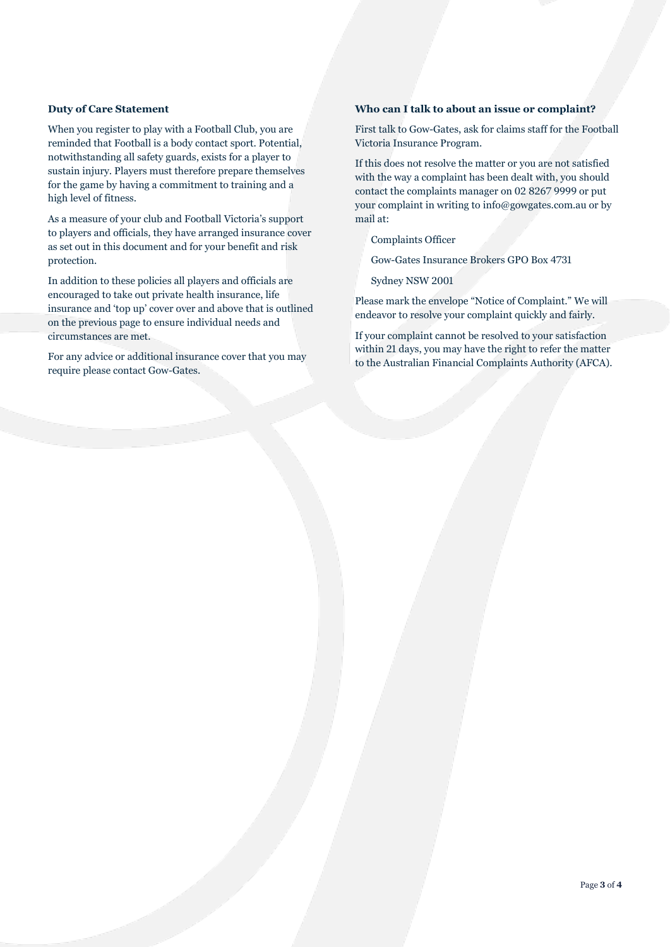# **Duty of Care Statement**

When you register to play with a Football Club, you are reminded that Football is a body contact sport. Potential, notwithstanding all safety guards, exists for a player to sustain injury. Players must therefore prepare themselves for the game by having a commitment to training and a high level of fitness.

As a measure of your club and Football Victoria's support to players and officials, they have arranged insurance cover as set out in this document and for your benefit and risk protection.

In addition to these policies all players and officials are encouraged to take out private health insurance, life insurance and 'top up' cover over and above that is outlined on the previous page to ensure individual needs and circumstances are met.

For any advice or additional insurance cover that you may require please contact Gow-Gates.

# **Who can I talk to about an issue or complaint?**

First talk to Gow-Gates, ask for claims staff for the Football Victoria Insurance Program.

If this does not resolve the matter or you are not satisfied with the way a complaint has been dealt with, you should contact the complaints manager on 02 8267 9999 or put your complaint in writing to info@gowgates.com.au or by mail at:

Complaints Officer

Gow-Gates Insurance Brokers GPO Box 4731

Sydney NSW 2001

Please mark the envelope "Notice of Complaint." We will endeavor to resolve your complaint quickly and fairly.

If your complaint cannot be resolved to your satisfaction within 21 days, you may have the right to refer the matter to the Australian Financial Complaints Authority (AFCA).